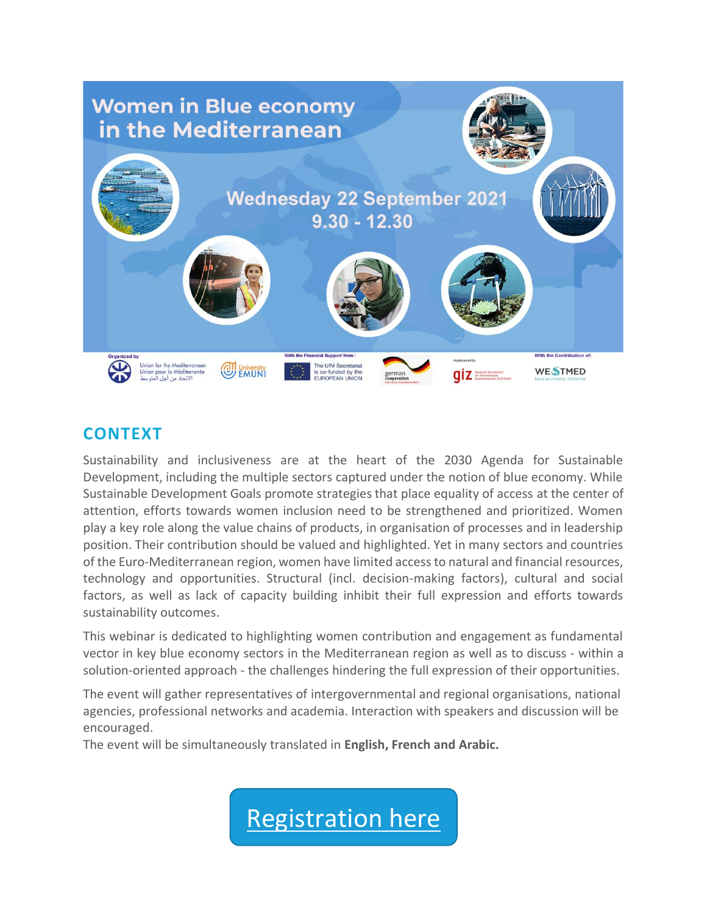

## **CONTEXT**

Sustainability and inclusiveness are at the heart of the 2030 Agenda for Sustainable Development, including the multiple sectors captured under the notion of blue economy. While Sustainable Development Goals promote strategies that place equality of access at the center of attention, efforts towards women inclusion need to be strengthened and prioritized. Women play a key role along the value chains of products, in organisation of processes and in leadership position. Their contribution should be valued and highlighted. Yet in many sectors and countries of the Euro-Mediterranean region, women have limited access to natural and financial resources, technology and opportunities. Structural (incl. decision-making factors), cultural and social factors, as well as lack of capacity building inhibit their full expression and efforts towards sustainability outcomes.

This webinar is dedicated to highlighting women contribution and engagement as fundamental vector in key blue economy sectors in the Mediterranean region as well as to discuss - within a solution-oriented approach - the challenges hindering the full expression of their opportunities.

The event will gather representatives of intergovernmental and regional organisations, national agencies, professional networks and academia. Interaction with speakers and discussion will be encouraged.

The event will be simultaneously translated in **English, French and Arabic.**

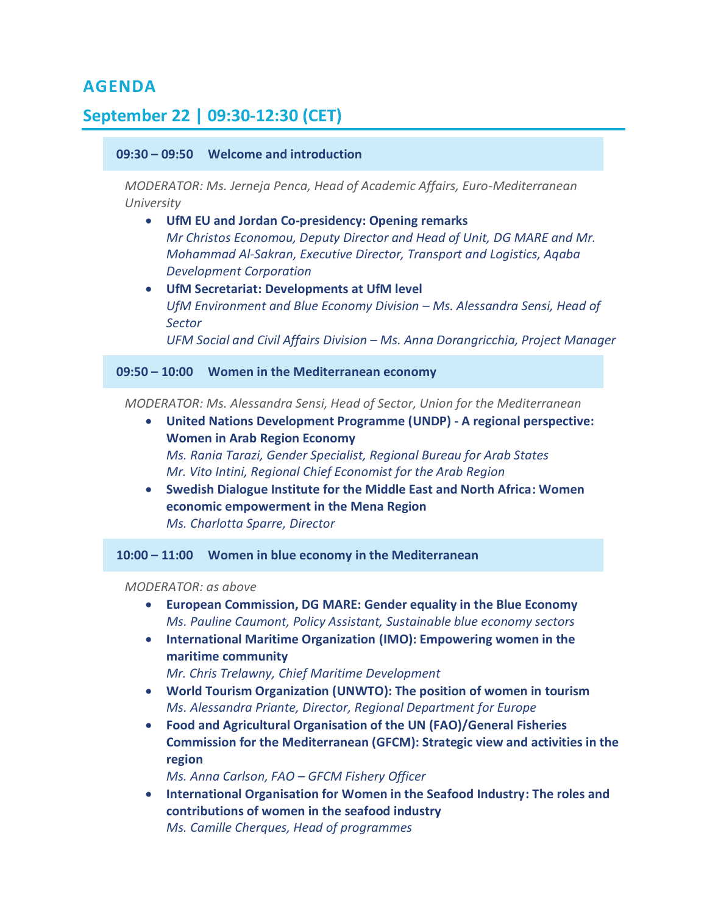### **AGENDA**

# **September 22 | 09:30-12:30 (CET)**

### **09:30 – 09:50 Welcome and introduction**

*MODERATOR: Ms. Jerneja Penca, Head of Academic Affairs, Euro-Mediterranean University*

- **UfM EU and Jordan Co-presidency: Opening remarks** *Mr Christos Economou, Deputy Director and Head of Unit, DG MARE and Mr. Mohammad Al-Sakran, Executive Director, Transport and Logistics, Aqaba Development Corporation*
- **UfM Secretariat: Developments at UfM level** *UfM Environment and Blue Economy Division – Ms. Alessandra Sensi, Head of Sector UFM Social and Civil Affairs Division – Ms. Anna Dorangricchia, Project Manager*

**09:50 – 10:00 Women in the Mediterranean economy** 

*MODERATOR: Ms. Alessandra Sensi, Head of Sector, Union for the Mediterranean*

- **United Nations Development Programme (UNDP) - A regional perspective: Women in Arab Region Economy** *Ms. Rania Tarazi, Gender Specialist, Regional Bureau for Arab States Mr. Vito Intini, Regional Chief Economist for the Arab Region*
- **Swedish Dialogue Institute for the Middle East and North Africa: Women economic empowerment in the Mena Region**  *Ms. Charlotta Sparre, Director*

**10:00 – 11:00 Women in blue economy in the Mediterranean**

*MODERATOR: as above*

- **European Commission, DG MARE: Gender equality in the Blue Economy** *Ms. Pauline Caumont, Policy Assistant, Sustainable blue economy sectors*
- **International Maritime Organization (IMO): Empowering women in the maritime community**

*Mr. Chris Trelawny, Chief Maritime Development*

- **World Tourism Organization (UNWTO): The position of women in tourism** *Ms. Alessandra Priante, Director, Regional Department for Europe*
- **Food and Agricultural Organisation of the UN (FAO)/General Fisheries Commission for the Mediterranean (GFCM): Strategic view and activities in the region**

*Ms. Anna Carlson, FAO – GFCM Fishery Officer*

• **International Organisation for Women in the Seafood Industry: The roles and contributions of women in the seafood industry** *Ms. Camille Cherques, Head of programmes*